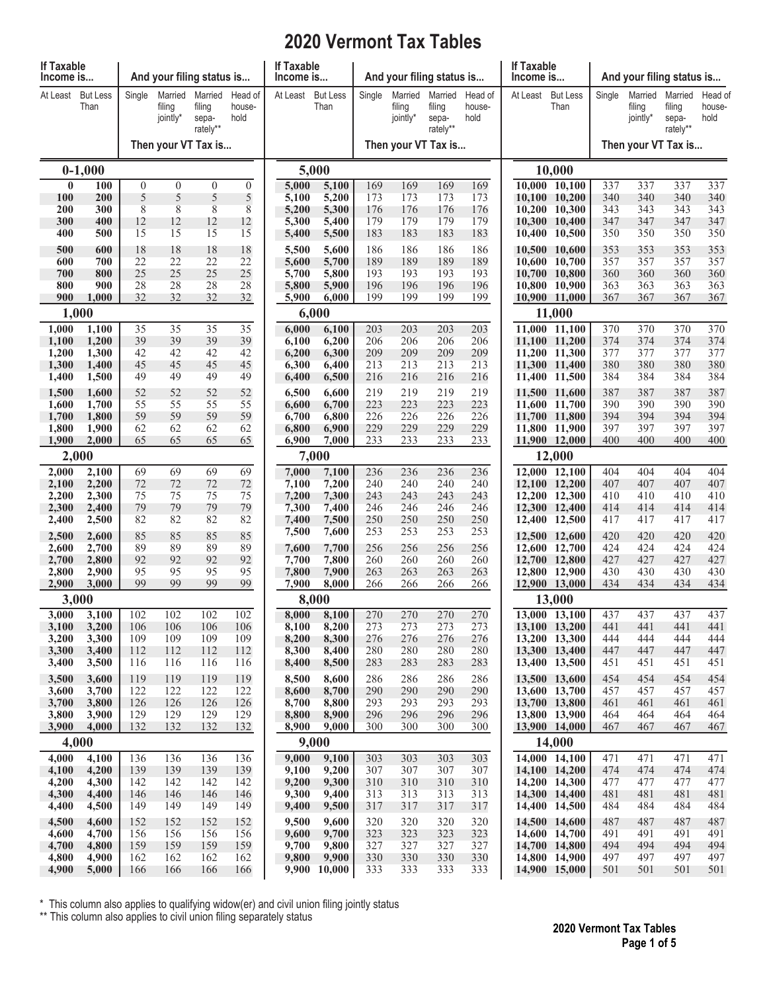## **2020 Vermont Tax Tables**

| If Taxable<br>Income is |                         |               |                               | And your filing status is              |                           | If Taxable<br>Income is |                         |            | And your filing status is     |                                        |                           | If Taxable<br>Income is |                                |            | And your filing status is<br>Married<br>Married<br>filing<br>filing<br>jointly*<br>hold<br>sepa-<br>rately** |            |                   |  |  |
|-------------------------|-------------------------|---------------|-------------------------------|----------------------------------------|---------------------------|-------------------------|-------------------------|------------|-------------------------------|----------------------------------------|---------------------------|-------------------------|--------------------------------|------------|--------------------------------------------------------------------------------------------------------------|------------|-------------------|--|--|
| At Least                | <b>But Less</b><br>Than | Single        | Married<br>filing<br>jointly* | Married<br>filing<br>sepa-<br>rately** | Head of<br>house-<br>hold | At Least                | <b>But Less</b><br>Than | Single     | Married<br>filing<br>jointly* | Married<br>filing<br>sepa-<br>rately** | Head of<br>house-<br>hold | At Least                | <b>But Less</b><br>Than        | Single     |                                                                                                              |            | Head of<br>house- |  |  |
| Then your VT Tax is     |                         |               |                               |                                        |                           |                         | Then your VT Tax is     |            | Then your VT Tax is           |                                        |                           |                         |                                |            |                                                                                                              |            |                   |  |  |
|                         | $0-1,000$               |               |                               |                                        |                           | 5,000                   |                         |            |                               |                                        |                           | 10,000                  |                                |            |                                                                                                              |            |                   |  |  |
| $\bf{0}$<br><b>100</b>  | 100<br>200              | $\theta$<br>5 | $\mathbf{0}$<br>5             | $\overline{0}$<br>5                    | $\overline{0}$<br>5       | 5,000<br>5,100          | 5,100<br>5,200          | 169<br>173 | 169<br>173                    | 169<br>173                             | 169<br>173                | 10,100                  | 10,000 10,100<br>10,200        | 337<br>340 | 337<br>340                                                                                                   | 337<br>340 | 337<br>340        |  |  |
| <b>200</b>              | 300                     | 8             | $\,$ 8 $\,$                   | 8                                      | 8                         | 5,200                   | 5,300                   | 176        | 176                           | 176                                    | 176                       | 10,200                  | 10,300                         | 343        | 343                                                                                                          | 343        | 343               |  |  |
| 300<br>400              | 400<br>500              | 12<br>15      | 12<br>15                      | 12<br>15                               | 12<br>15                  | 5,300<br>5,400          | 5,400<br>5,500          | 179<br>183 | 179<br>183                    | 179<br>183                             | 179<br>183                | 10,400                  | 10,300 10,400<br>10,500        | 347<br>350 | 347<br>350                                                                                                   | 347<br>350 | 347<br>350        |  |  |
| 500                     | 600                     | 18            | 18                            | 18                                     | 18                        | 5,500                   | 5,600                   | 186        | 186                           | 186                                    | 186                       | 10,500                  | 10,600                         | 353        | 353                                                                                                          | 353        | 353               |  |  |
| 600                     | 700                     | 22            | 22                            | 22                                     | 22                        | 5,600                   | 5,700                   | 189        | 189                           | 189                                    | 189                       | 10,600                  | 10,700                         | 357        | 357                                                                                                          | 357        | 357               |  |  |
| 700<br>800              | 800<br>900              | 25<br>28      | 25<br>28                      | 25<br>28                               | 25<br>28                  | 5,700<br>5,800          | 5,800<br>5,900          | 193<br>196 | 193<br>196                    | 193<br>196                             | 193<br>196                | 10,700<br>10,800        | 10,800<br>10,900               | 360<br>363 | 360<br>363                                                                                                   | 360<br>363 | 360<br>363        |  |  |
| 900                     | 1,000                   | 32            | 32                            | 32                                     | 32                        | 5,900                   | 6,000                   | 199        | 199                           | 199                                    | 199                       |                         | 10,900 11,000                  | 367        | 367                                                                                                          | 367        | 367               |  |  |
|                         | 1,000                   |               |                               |                                        |                           |                         | 6,000                   |            |                               |                                        |                           |                         | 11,000                         |            |                                                                                                              |            |                   |  |  |
| 1,000<br>1,100          | 1,100<br>1,200          | 35<br>39      | 35<br>39                      | 35<br>39                               | 35<br>39                  | 6,000<br>6,100          | 6,100<br>6,200          | 203<br>206 | 203<br>206                    | 203<br>206                             | 203<br>206                |                         | 11,000 11,100<br>11,100 11,200 | 370<br>374 | 370<br>374                                                                                                   | 370<br>374 | 370<br>374        |  |  |
| 1,200                   | 1,300                   | 42            | 42                            | 42                                     | 42                        | 6,200                   | 6,300                   | 209        | 209                           | 209                                    | 209                       |                         | 11,200 11,300                  | 377        | 377                                                                                                          | 377        | 377               |  |  |
| 1,300                   | 1,400                   | 45            | 45                            | 45                                     | 45                        | 6,300                   | 6,400                   | 213        | 213                           | 213                                    | 213                       |                         | 11,300 11,400                  | 380        | 380                                                                                                          | 380        | 380               |  |  |
| 1,400                   | 1,500                   | 49<br>52      | 49<br>52                      | 49                                     | 49<br>52                  | 6,400                   | 6,500<br>6,600          | 216<br>219 | 216<br>219                    | 216<br>219                             | 216<br>219                | 11,500                  | 11,400 11,500                  | 384<br>387 | 384<br>387                                                                                                   | 384<br>387 | 384<br>387        |  |  |
| 1,500<br>1,600          | 1,600<br>1,700          | 55            | 55                            | 52<br>55                               | 55                        | 6,500<br>6,600          | 6,700                   | 223        | 223                           | 223                                    | 223                       |                         | 11,600<br>11,600 11,700        | 390        | 390                                                                                                          | 390        | 390               |  |  |
| 1,700                   | 1,800                   | 59            | 59                            | 59                                     | 59                        | 6,700                   | 6,800                   | 226        | 226                           | 226                                    | 226                       |                         | 11,700 11,800                  | 394        | 394                                                                                                          | 394        | 394               |  |  |
| 1,800<br>1,900          | 1,900<br>2,000          | 62<br>65      | 62<br>65                      | 62<br>65                               | 62<br>65                  | 6,800<br>6,900          | 6,900<br>7,000          | 229<br>233 | 229<br>233                    | 229<br>233                             | 229<br>233                |                         | 11,800 11,900<br>11,900 12,000 | 397<br>400 | 397<br>400                                                                                                   | 397<br>400 | 397<br>400        |  |  |
| 2,000                   |                         |               |                               |                                        |                           | 7,000                   |                         |            |                               |                                        |                           | 12,000                  |                                |            |                                                                                                              |            |                   |  |  |
| 2,000                   | 2,100                   | 69            | 69                            | 69                                     | 69                        | 7,000                   | 7,100                   | 236        | 236                           | 236                                    | 236                       |                         | 12,000 12,100                  | 404        | 404                                                                                                          | 404        | 404               |  |  |
| 2,100<br>2,200          | 2,200<br>2,300          | 72<br>75      | 72<br>75                      | 72<br>75                               | 72<br>75                  | 7,100<br>7,200          | 7,200<br>7,300          | 240<br>243 | 240<br>243                    | 240<br>243                             | 240<br>243                |                         | 12,100 12,200<br>12,200 12,300 | 407<br>410 | 407<br>410                                                                                                   | 407<br>410 | 407<br>410        |  |  |
| 2,300                   | 2,400                   | 79            | 79                            | 79                                     | 79                        | 7,300                   | 7,400                   | 246        | 246                           | 246                                    | 246                       |                         | 12,300 12,400                  | 414        | 414                                                                                                          | 414        | 414               |  |  |
| 2,400                   | 2,500                   | 82            | 82                            | 82                                     | 82                        | 7,400<br>7,500          | 7,500<br>7,600          | 250<br>253 | 250<br>253                    | 250<br>253                             | 250<br>253                |                         | 12,400 12,500                  | 417        | 417                                                                                                          | 417        | 417               |  |  |
| 2,500<br>2,600          | 2,600<br>2,700          | 85<br>89      | 85<br>89                      | 85<br>89                               | 85<br>89                  | 7,600                   | 7,700                   | 256        | 256                           | 256                                    | 256                       |                         | 12,500 12,600<br>12,600 12,700 | 420<br>424 | 420<br>424                                                                                                   | 420<br>424 | 420<br>424        |  |  |
| 2,700                   | 2,800                   | 92            | 92                            | 92                                     | 92                        | 7,700                   | 7,800                   | 260        | 260                           | 260                                    | 260                       |                         | 12,700 12,800                  | 427        | 427                                                                                                          | 427        | 427               |  |  |
| 2,800<br>2,900          | 2,900<br>3,000          | 95<br>99      | 95<br>99                      | 95<br>99                               | 95<br>99                  | 7,800<br>7,900          | 7,900<br>8,000          | 263<br>266 | 263<br>266                    | 263<br>266                             | 263<br><u>266</u>         |                         | 12,800 12,900                  | 430<br>434 | 430<br>434                                                                                                   | 430<br>434 | 430<br>434        |  |  |
|                         | 3,000                   |               |                               |                                        |                           | 8,000                   | 12,900 13,000<br>13,000 |            |                               |                                        |                           |                         |                                |            |                                                                                                              |            |                   |  |  |
| 3,000                   | 3,100                   | 102           | 102                           | 102                                    | 102                       | 8,000                   | 8,100                   | 270        | 270                           | 270                                    | 270                       |                         | 13,000 13,100                  | 437        | 437                                                                                                          | 437        | 437               |  |  |
| 3,100<br>3,200          | 3,200<br>3,300          | 106<br>109    | 106<br>109                    | 106<br>109                             | 106<br>109                | 8,100<br>8,200          | 8,200<br>8,300          | 273<br>276 | 273<br>276                    | 273<br>276                             | 273<br>276                |                         | 13,100 13,200<br>13,200 13,300 | 441<br>444 | 441<br>444                                                                                                   | 441<br>444 | 441<br>444        |  |  |
| 3,300                   | 3,400                   | 112           | 112                           | 112                                    | 112                       | 8,300                   | 8,400                   | 280        | 280                           | 280                                    | 280                       |                         | 13,300 13,400                  | 447        | 447                                                                                                          | 447        | 447               |  |  |
| 3,400                   | 3,500                   | 116           | 116                           | 116                                    | 116                       | 8,400                   | 8,500                   | 283        | 283                           | 283                                    | 283                       |                         | 13,400 13,500                  | 451        | 451                                                                                                          | 451        | 451               |  |  |
| 3,500<br>3,600          | 3,600<br>3,700          | 119<br>122    | 119<br>122                    | 119<br>122                             | 119<br>122                | 8,500<br>8,600          | 8,600<br>8,700          | 286<br>290 | 286<br>290                    | 286<br>290                             | 286<br>290                |                         | 13,500 13,600<br>13,600 13,700 | 454<br>457 | 454<br>457                                                                                                   | 454<br>457 | 454<br>457        |  |  |
| 3,700                   | 3,800                   | 126           | 126                           | 126                                    | 126                       | 8,700                   | 8,800                   | 293        | 293                           | 293                                    | 293                       |                         | 13,700 13,800                  | 461        | 461                                                                                                          | 461        | 461               |  |  |
| 3,800<br>3,900          | 3,900<br>4,000          | 129<br>132    | 129<br>132                    | 129<br>132                             | 129<br>132                | 8,800<br>8,900          | 8,900<br>9,000          | 296<br>300 | 296<br>300                    | 296<br>300                             | 296<br>300                |                         | 13,800 13,900<br>13,900 14,000 | 464<br>467 | 464<br>467                                                                                                   | 464<br>467 | 464<br>467        |  |  |
|                         | 4,000                   |               |                               |                                        |                           |                         | 9,000                   |            |                               |                                        |                           |                         | 14,000                         |            |                                                                                                              |            |                   |  |  |
| 4,000                   | 4,100                   | 136           | 136                           | 136                                    | 136                       | 9,000                   | 9,100                   | 303        | 303                           | 303                                    | 303                       |                         | 14,000 14,100                  | 471        | 471                                                                                                          | 471        | 471               |  |  |
| 4,100<br>4,200          | 4,200<br>4,300          | 139<br>142    | 139<br>142                    | 139<br>142                             | 139<br>142                | 9,100<br>9,200          | 9,200<br>9,300          | 307<br>310 | 307<br>310                    | 307<br>310                             | 307<br>310                |                         | 14,100 14,200<br>14,200 14,300 | 474<br>477 | 474<br>477                                                                                                   | 474<br>477 | 474<br>477        |  |  |
| 4,300                   | 4,400                   | 146           | 146                           | 146                                    | 146                       | 9,300                   | 9,400                   | 313        | 313                           | 313                                    | 313                       |                         | 14,300 14,400                  | 481        | 481                                                                                                          | 481        | 481               |  |  |
| 4,400                   | 4,500                   | 149           | 149                           | 149                                    | 149                       | 9,400                   | 9,500                   | 317        | 317                           | 317                                    | 317                       |                         | 14,400 14,500                  | 484        | 484                                                                                                          | 484        | 484               |  |  |
| 4,500<br>4,600          | 4,600<br>4,700          | 152<br>156    | 152<br>156                    | 152<br>156                             | 152<br>156                | 9,500<br>9,600          | 9,600<br>9,700          | 320<br>323 | 320<br>323                    | 320<br>323                             | 320<br>323                |                         | 14,500 14,600<br>14,600 14,700 | 487<br>491 | 487<br>491                                                                                                   | 487<br>491 | 487<br>491        |  |  |
| 4,700                   | 4,800                   | 159           | 159                           | 159                                    | 159                       | 9,700                   | 9,800                   | 327        | 327                           | 327                                    | 327                       |                         | 14,700 14,800                  | 494        | 494                                                                                                          | 494        | 494               |  |  |
| 4,800                   | 4,900                   | 162           | 162                           | 162                                    | 162                       | 9,800                   | 9,900                   | 330        | 330                           | 330                                    | 330                       |                         | 14,800 14,900                  | 497        | 497                                                                                                          | 497        | 497               |  |  |
| 4,900                   | 5,000                   | 166           | 166                           | 166                                    | 166                       | 9,900                   | 10,000                  | 333        | 333                           | 333                                    | 333                       |                         | 14,900 15,000                  | 501        | 501                                                                                                          | 501        | 501               |  |  |

\* This column also applies to qualifying widow(er) and civil union filing jointly status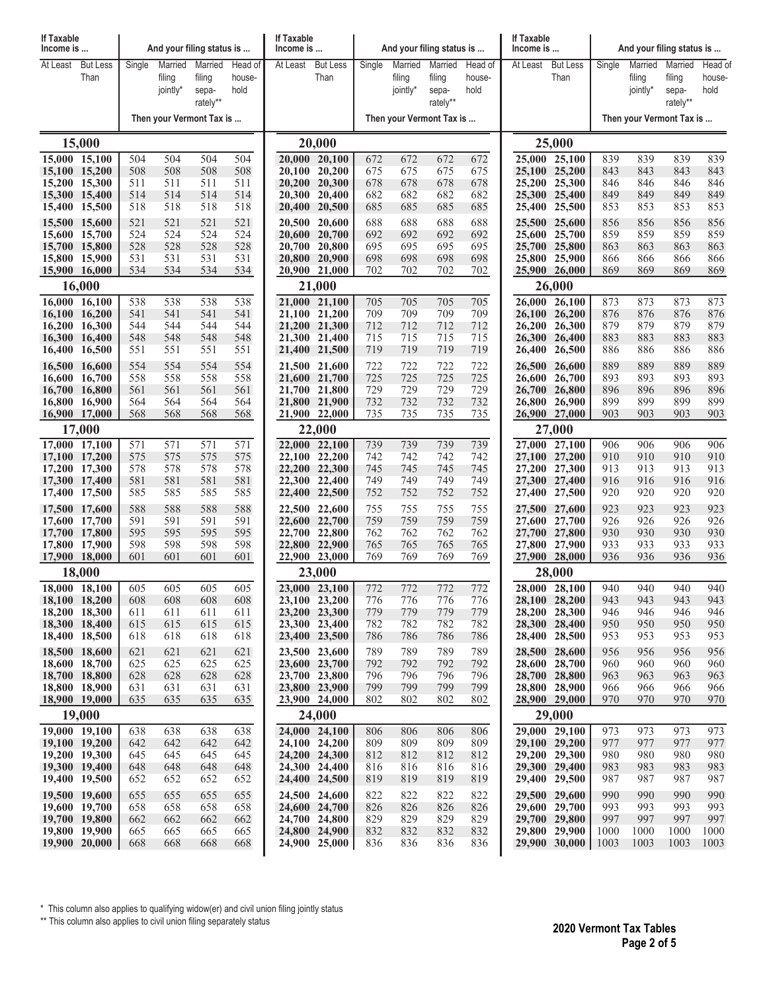| If Taxable<br>Income is        |                 |            |                    | And your filing status is |                | If Taxable<br>Income is |                                |            | And your filing status is |                 |                | If Taxable<br>Income is  |                                | And your filing status is |                    |                 |                |  |
|--------------------------------|-----------------|------------|--------------------|---------------------------|----------------|-------------------------|--------------------------------|------------|---------------------------|-----------------|----------------|--------------------------|--------------------------------|---------------------------|--------------------|-----------------|----------------|--|
| At Least                       | <b>But Less</b> | Single     | Married            | Married                   | Head of        | At Least                | <b>But Less</b>                | Single     | Married                   | Married         | Head of        | At Least                 | <b>But Less</b>                | Single                    | Married            | Married         | Head of        |  |
|                                | Than            |            | filing<br>jointly* | filing<br>sepa-           | house-<br>hold |                         | Than                           |            | filing<br>jointly*        | filing<br>sepa- | house-<br>hold |                          | Than                           |                           | filing<br>jointly* | filing<br>sepa- | house-<br>hold |  |
|                                |                 |            |                    | rately**                  |                |                         |                                |            |                           | rately**        |                |                          |                                |                           |                    | rately**        |                |  |
|                                |                 |            |                    | Then your Vermont Tax is  |                |                         |                                |            | Then your Vermont Tax is  |                 |                | Then your Vermont Tax is |                                |                           |                    |                 |                |  |
|                                | 15,000          |            |                    |                           |                |                         | 20,000                         |            |                           |                 |                |                          | 25,000                         |                           |                    |                 |                |  |
| 15,000 15,100                  |                 | 504        | 504                | 504                       | 504            |                         | 20,000 20,100                  | 672        | 672                       | 672             | 672            |                          | 25,000 25,100                  | 839                       | 839                | 839             | 839            |  |
| 15,100 15,200<br>15,200 15,300 |                 | 508<br>511 | 508<br>511         | 508<br>511                | 508<br>511     |                         | 20,100 20,200<br>20,200 20,300 | 675<br>678 | 675<br>678                | 675<br>678      | 675<br>678     |                          | 25,100 25,200<br>25,200 25,300 | 843<br>846                | 843<br>846         | 843<br>846      | 843<br>846     |  |
| 15,300 15,400                  |                 | 514        | 514                | 514                       | 514            |                         | 20,300 20,400                  | 682        | 682                       | 682             | 682            |                          | 25,300 25,400                  | 849                       | 849                | 849             | 849            |  |
| 15,400 15,500                  |                 | 518        | 518                | 518                       | 518            |                         | 20,400 20,500                  | 685        | 685                       | 685             | 685            |                          | 25,400 25,500                  | 853                       | 853                | 853             | 853            |  |
| 15,500 15,600                  |                 | 521        | 521                | 521                       | 521            |                         | 20,500 20,600                  | 688        | 688                       | 688             | 688            |                          | 25,500 25,600                  | 856                       | 856                | 856             | 856            |  |
| 15,600 15,700<br>15,700 15,800 |                 | 524<br>528 | 524<br>528         | 524<br>528                | 524<br>528     |                         | 20,600 20,700<br>20,700 20,800 | 692<br>695 | 692<br>695                | 692<br>695      | 692<br>695     |                          | 25,600 25,700<br>25,700 25,800 | 859<br>863                | 859<br>863         | 859<br>863      | 859<br>863     |  |
| 15,800 15,900                  |                 | 531        | 531                | 531                       | 531            |                         | 20,800 20,900                  | 698        | 698                       | 698             | 698            |                          | 25,800 25,900                  | 866                       | 866                | 866             | 866            |  |
| 15,900 16,000                  |                 | 534        | 534                | 534                       | 534            |                         | 20,900 21,000                  | 702        | 702                       | 702             | 702            |                          | 25,900 26,000                  | 869                       | 869                | 869             | 869            |  |
|                                | 16,000          |            |                    |                           |                |                         | 21,000                         |            |                           |                 |                |                          | 26,000                         |                           |                    |                 |                |  |
| 16,000 16,100<br>16,100 16,200 |                 | 538<br>541 | 538<br>541         | 538<br>541                | 538<br>541     |                         | 21,000 21,100<br>21,100 21,200 | 705<br>709 | 705<br>709                | 705<br>709      | 705<br>709     |                          | 26,000 26,100<br>26,100 26,200 | 873<br>876                | 873<br>876         | 873<br>876      | 873<br>876     |  |
| 16,200 16,300                  |                 | 544        | 544                | 544                       | 544            |                         | 21,200 21,300                  | 712        | 712                       | 712             | 712            |                          | 26,200 26,300                  | 879                       | 879                | 879             | 879            |  |
| 16,300 16,400                  |                 | 548        | 548                | 548                       | 548            |                         | 21,300 21,400                  | 715        | 715                       | 715             | 715            |                          | 26,300 26,400                  | 883                       | 883                | 883             | 883            |  |
| 16,400 16,500                  |                 | 551        | 551                | 551                       | 551            |                         | 21,400 21,500                  | 719        | 719                       | 719             | 719            |                          | 26,400 26,500                  | 886                       | 886                | 886             | 886            |  |
| 16,500 16,600<br>16,600 16,700 |                 | 554<br>558 | 554<br>558         | 554<br>558                | 554<br>558     |                         | 21,500 21,600<br>21,600 21,700 | 722<br>725 | 722<br>725                | 722<br>725      | 722<br>725     | 26,500                   | 26,600<br>26,600 26,700        | 889<br>893                | 889<br>893         | 889<br>893      | 889<br>893     |  |
| 16,700 16,800                  |                 | 561        | 561                | 561                       | 561            |                         | 21,700 21,800                  | 729        | 729                       | 729             | 729            |                          | 26,700 26,800                  | 896                       | 896                | 896             | 896            |  |
| 16,800 16,900                  |                 | 564        | 564                | 564                       | 564            |                         | 21,800 21,900                  | 732        | 732                       | 732             | 732            | 26,800                   | 26,900                         | 899                       | 899                | 899             | 899            |  |
| 16,900 17,000                  |                 | 568        | 568                | 568                       | 568            |                         | 21,900 22,000                  | 735        | 735                       | 735             | 735            |                          | 26,900 27,000                  | 903                       | 903                | 903             | 903            |  |
| 17,000 17,100                  | 17,000          | 571        | 571                | 571                       | 571            |                         | 22,000<br>22,000 22,100        | 739        | 739                       | 739             | 739            |                          | 27,000<br>27,000 27,100        | 906                       | 906                | 906             | 906            |  |
| 17,100 17,200                  |                 | 575        | 575                | 575                       | 575            |                         | 22,100 22,200                  | 742        | 742                       | 742             | 742            |                          | 27,100 27,200                  | 910                       | 910                | 910             | 910            |  |
| 17,200 17,300                  |                 | 578        | 578                | 578                       | 578            |                         | 22,200 22,300                  | 745        | 745                       | 745             | 745            |                          | 27,200 27,300                  | 913                       | 913                | 913             | 913            |  |
| 17,300 17,400<br>17,400 17,500 |                 | 581<br>585 | 581<br>585         | 581<br>585                | 581<br>585     |                         | 22,300 22,400<br>22,400 22,500 | 749<br>752 | 749<br>752                | 749<br>752      | 749<br>752     |                          | 27,300 27,400<br>27,400 27,500 | 916<br>920                | 916<br>920         | 916<br>920      | 916<br>920     |  |
| 17,500 17,600                  |                 | 588        | 588                | 588                       | 588            |                         | 22,500 22,600                  | 755        | 755                       | 755             | 755            |                          | 27,500 27,600                  | 923                       | 923                | 923             | 923            |  |
| 17,600 17,700                  |                 | 591        | 591                | 591                       | 591            |                         | 22,600 22,700                  | 759        | 759                       | 759             | 759            |                          | 27,600 27,700                  | 926                       | 926                | 926             | 926            |  |
| 17,700 17,800                  |                 | 595        | 595                | 595                       | 595            |                         | 22,700 22,800                  | 762        | 762                       | 762             | 762            |                          | 27,700 27,800                  | 930                       | 930                | 930             | 930            |  |
| 17,800 17,900<br>17,900 18,000 |                 | 598<br>601 | 598<br>601         | 598<br>601                | 598<br>601     |                         | 22,800 22,900<br>22,900 23,000 | 765<br>769 | 765<br>769                | 765<br>769      | 765<br>769     |                          | 27,800 27,900<br>27,900 28,000 | 933<br>936                | 933<br>936         | 933<br>936      | 933<br>936     |  |
|                                | 18,000          |            |                    |                           |                |                         | 23,000                         |            |                           |                 |                | 28,000                   |                                |                           |                    |                 |                |  |
| $18,000$ $18,100$              |                 | 605        | 605                | 605                       | 605            |                         | 23,000 23,100                  | 772        | 772                       | 772             | 772            |                          | $28,000$ $28,100$              | 940                       | 940                | 940             | 940            |  |
| 18,100 18,200<br>18,200 18,300 |                 | 608<br>611 | 608<br>611         | 608<br>611                | 608<br>611     |                         | 23,100 23,200<br>23,200 23,300 | 776<br>779 | 776<br>779                | 776<br>779      | 776<br>779     |                          | 28,100 28,200<br>28,200 28,300 | 943<br>946                | 943<br>946         | 943<br>946      | 943.<br>946    |  |
| 18,300 18,400                  |                 | 615        | 615                | 615                       | 615            |                         | 23,300 23,400                  | 782        | 782                       | 782             | 782            |                          | 28,300 28,400                  | 950                       | 950                | 950             | 950            |  |
| 18,400 18,500                  |                 | 618        | 618                | 618                       | 618            |                         | 23,400 23,500                  | 786        | 786                       | 786             | 786            |                          | 28,400 28,500                  | 953                       | 953                | 953             | 953            |  |
| 18,500 18,600                  |                 | 621        | 621                | 621                       | 621            |                         | 23,500 23,600                  | 789        | 789                       | 789             | 789            |                          | 28,500 28,600                  | 956                       | 956                | 956             | 956            |  |
| 18,600 18,700<br>18,700 18,800 |                 | 625<br>628 | 625<br>628         | 625<br>628                | 625<br>628     |                         | 23,600 23,700<br>23,700 23,800 | 792<br>796 | 792<br>796                | 792<br>796      | 792<br>796     |                          | 28,600 28,700<br>28,700 28,800 | 960<br>963                | 960<br>963         | 960<br>963      | 960<br>963     |  |
| 18,800 18,900                  |                 | 631        | 631                | 631                       | 631            |                         | 23,800 23,900                  | 799        | 799                       | 799             | 799            |                          | 28,800 28,900                  | 966                       | 966                | 966             | 966            |  |
| 18,900 19,000                  |                 | 635        | 635                | 635                       | 635            |                         | 23,900 24,000                  | 802        | 802                       | 802             | 802            |                          | 28,900 29,000                  | 970                       | 970                | 970             | 970            |  |
| 19,000                         |                 |            |                    |                           |                |                         | 24,000                         |            |                           |                 |                |                          | 29,000                         |                           |                    |                 |                |  |
| 19,000 19,100<br>19,100 19,200 |                 | 638<br>642 | 638<br>642         | 638<br>642                | 638<br>642     |                         | 24,000 24,100<br>24,100 24,200 | 806<br>809 | 806<br>809                | 806<br>809      | 806<br>809     |                          | 29,000 29,100<br>29,100 29,200 | 973<br>977                | 973<br>977         | 973<br>977      | 973<br>977     |  |
| 19,200 19,300                  |                 | 645        | 645                | 645                       | 645            |                         | 24,200 24,300                  | 812        | 812                       | 812             | 812            |                          | 29,200 29,300                  | 980                       | 980                | 980             | 980            |  |
| 19,300 19,400                  |                 | 648        | 648                | 648                       | 648            |                         | 24,300 24,400                  | 816        | 816                       | 816             | 816            |                          | 29,300 29,400                  | 983                       | 983                | 983             | 983            |  |
| 19,400 19,500                  |                 | 652        | 652                | 652                       | 652            |                         | 24,400 24,500                  | 819        | 819                       | 819             | 819            |                          | 29,400 29,500                  | 987                       | 987                | 987             | 987            |  |
| 19,500 19,600<br>19,600 19,700 |                 | 655<br>658 | 655<br>658         | 655<br>658                | 655<br>658     |                         | 24,500 24,600<br>24,600 24,700 | 822<br>826 | 822<br>826                | 822<br>826      | 822<br>826     |                          | 29,500 29,600<br>29,600 29,700 | 990<br>993                | 990<br>993         | 990<br>993      | 990<br>993     |  |
| 19,700 19,800                  |                 | 662        | 662                | 662                       | 662            |                         | 24,700 24,800                  | 829        | 829                       | 829             | 829            |                          | 29,700 29,800                  | 997                       | 997                | 997             | 997            |  |
| 19,800 19,900                  |                 | 665        | 665                | 665                       | 665            |                         | 24,800 24,900                  | 832        | 832                       | 832             | 832            |                          | 29,800 29,900                  | 1000                      | 1000               | 1000            | 1000           |  |
| 19,900 20,000                  |                 | 668        | 668                | 668                       | 668            |                         | 24,900 25,000                  | 836        | 836                       | 836             | 836            |                          | 29,900 30,000                  | 1003                      | 1003               | 1003            | 1003           |  |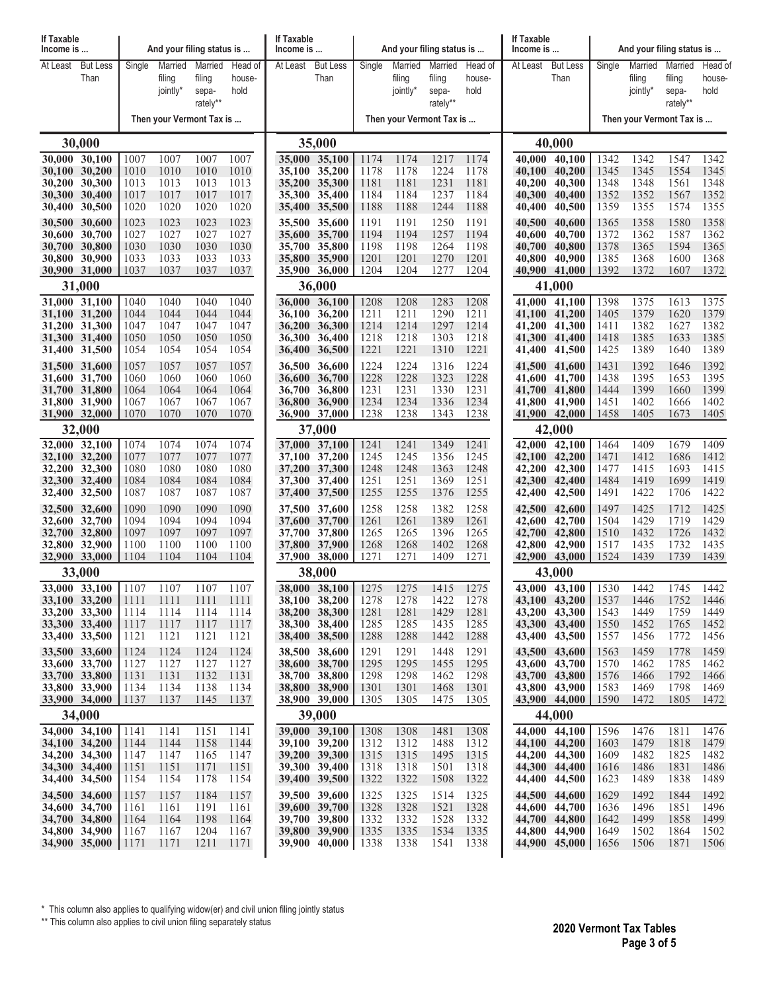| If Taxable<br>Income is                                 |                 |              |                     | And your filing status is |                | If Taxable<br>Income is |                                |              |                    | And your filing status is |                | If Taxable<br>Income is  |                                |              | And your filing status is |                     |                |  |
|---------------------------------------------------------|-----------------|--------------|---------------------|---------------------------|----------------|-------------------------|--------------------------------|--------------|--------------------|---------------------------|----------------|--------------------------|--------------------------------|--------------|---------------------------|---------------------|----------------|--|
| At Least                                                | <b>But Less</b> | Single       | Married             | Married                   | Head of        | At Least                | <b>But Less</b>                | Single       | Married            | Married                   | Head of        | At Least                 | <b>But Less</b>                | Single       | Married                   | Married             | Head of        |  |
|                                                         | Than            |              | filing<br>jointly*  | filing<br>sepa-           | house-<br>hold |                         | Than                           |              | filing<br>jointly* | filing<br>sepa-           | house-<br>hold |                          | Than                           |              | filing<br>jointly*        | filing<br>sepa-     | house-<br>hold |  |
|                                                         |                 |              |                     | rately**                  |                |                         |                                |              |                    | rately**                  |                |                          |                                |              |                           | rately**            |                |  |
|                                                         |                 |              |                     | Then your Vermont Tax is  |                |                         |                                |              |                    | Then your Vermont Tax is  |                | Then your Vermont Tax is |                                |              |                           |                     |                |  |
| 30,000                                                  |                 |              |                     |                           |                |                         | 35,000                         |              |                    |                           | 40,000         |                          |                                |              |                           |                     |                |  |
| 30,000 30,100<br>30,100 30,200                          |                 | 1007<br>1010 | 1007<br>1010        | 1007<br>1010              | 1007<br>1010   |                         | 35,000 35,100<br>35,100 35,200 | 1174<br>1178 | 1174<br>1178       | 1217<br>1224              | 1174<br>1178   | 40.000<br>40.100         | 40,100<br>40,200               | 1342<br>1345 | 1342<br>1345              | 1547<br>1554        | 1342<br>1345   |  |
| 30,200 30,300<br>30,300 30,400                          |                 | 1013<br>1017 | 1013<br>1017        | 1013<br>1017              | 1013<br>1017   |                         | 35,200 35,300<br>35,300 35,400 | 1181<br>1184 | 1181<br>1184       | 1231<br>1237              | 1181<br>1184   | 40,200<br>40,300         | 40,300<br>40,400               | 1348<br>1352 | 1348<br>1352              | 1561<br>1567        | 1348<br>1352   |  |
| 30,400                                                  | 30,500          | 1020         | 1020                | 1020                      | 1020           |                         | 35,400 35,500                  | 1188         | 1188               | 1244                      | 1188           | 40,400                   | 40,500                         | 1359         | 1355                      | 1574                | 1355           |  |
| 30,500 30,600                                           |                 | 1023         | 1023                | 1023                      | 1023           |                         | 35,500 35,600                  | 1191         | 1191               | 1250                      | 1191           | 40,500                   | 40,600                         | 1365         | 1358                      | 1580                | 1358           |  |
| 30,600<br>30,700 30,800                                 | 30,700          | 1027<br>1030 | 1027<br>1030        | 1027<br>1030              | 1027<br>1030   |                         | 35,600 35,700<br>35,700 35,800 | 1194<br>1198 | 1194<br>1198       | 1257<br>1264              | 1194<br>1198   | 40,600<br>40,700         | 40,700<br>40,800               | 1372<br>1378 | 1362<br>1365              | 1587<br>1594        | 1362<br>1365   |  |
| 30,800 30,900                                           |                 | 1033         | 1033                | 1033                      | 1033           |                         | 35,800 35,900                  | 1201         | 1201               | 1270                      | 1201<br>1204   | 40,800                   | 40,900                         | 1385         | 1368                      | 1600                | 1368           |  |
| 30,900 31,000<br>31,000                                 |                 | 1037         | 1037                | 1037                      | 1037           |                         | 35,900 36,000<br>36,000        | 1204         | 1204               | 1277                      |                | 40,900 41,000<br>41,000  | 1392                           | 1372         | 1607                      | 1372                |                |  |
| 31,000 31,100                                           |                 | 1040         | 1040                | 1040                      | 1040           |                         | 36,000 36,100                  | 1208         | 1208               | 1283                      | 1208           |                          | 41,000 41,100                  | 1398         | 1375                      | 1613                | 1375           |  |
| 31,100 31,200                                           |                 | 1044         | 1044<br>1047        | 1044<br>1047              | 1044           |                         | 36,100 36,200                  | 1211         | 1211               | 1290                      | 1211           | 41,100<br>41,200         | 41,200<br>41,300               | 1405         | 1379<br>1382              | 1620                | 1379<br>1382   |  |
| 31,200 31,300<br>31,300 31,400                          |                 | 1047<br>1050 | 1050                | 1050                      | 1047<br>1050   |                         | 36,200 36,300<br>36,300 36,400 | 1214<br>1218 | 1214<br>1218       | 1297<br>1303              | 1214<br>1218   |                          | 41,300 41,400                  | 1411<br>1418 | 1385                      | 1627<br>1633        | 1385           |  |
| 31,400 31,500                                           |                 | 1054         | 1054                | 1054                      | 1054           |                         | 36,400 36,500                  | 1221         | 1221               | 1310                      | 1221           | 41,400                   | 41,500                         | 1425         | 1389                      | 1640                | 1389           |  |
| 31,500 31,600<br>31,600 31,700                          |                 | 1057         | 1057                | 1057<br>1060              | 1057<br>1060   |                         | 36,500 36,600<br>36,600 36,700 | 1224<br>1228 | 1224<br>1228       | 1316<br>1323              | 1224<br>1228   | 41,500                   | 41,600                         | 1431<br>1438 | 1392<br>1395              | 1646<br>1653        | 1392<br>1395   |  |
| 31,700 31,800                                           |                 | 1060<br>1064 | 1060<br>1064        | 1064                      | 1064           |                         | 36,700 36,800                  | 1231         | 1231               | 1330                      | 1231           | 41,600                   | 41,700<br>41,700 41,800        | 1444         | 1399                      | 1660                | 1399           |  |
| 31,800 31,900                                           |                 | 1067         | 1067                | 1067                      | 1067           |                         | 36,800 36,900                  | 1234         | 1234               | 1336                      | 1234           |                          | 41,800 41,900                  | 1451         | 1402                      | 1666                | 1402           |  |
| 31,900 32,000<br>1070<br>1070<br>1070<br>1070<br>32,000 |                 |              |                     |                           |                |                         | 36,900 37,000<br>37,000        | 1238         | 1238               | 1343                      | 1238           |                          | 41,900 42,000<br>42,000        | 1458         | 1405                      | 1673                | 1405           |  |
| 32,000 32,100                                           |                 | 1074         | 1074                | 1074                      | 1074           |                         | 37,000 37,100                  | 1241         | 1241               | 1349                      | 1241           |                          | 42,000 42,100                  | 1464         | 1409                      | 1679                | 1409           |  |
| 32,100 32,200                                           |                 | 1077         | 1077<br>1080        | 1077<br>1080              | 1077           |                         | 37,100 37,200                  | 1245         | 1245               | 1356                      | 1245           | 42,100                   | 42,200                         | 1471         | 1412                      | 1686                | 1412           |  |
| 32,200 32,300<br>32,300 32,400                          |                 | 1080<br>1084 | 1084                | 1084                      | 1080<br>1084   |                         | 37,200 37,300<br>37,300 37,400 | 1248<br>1251 | 1248<br>1251       | 1363<br>1369              | 1248<br>1251   |                          | 42,200 42,300<br>42,300 42,400 | 1477<br>1484 | 1415<br>1419              | 1693<br>1699        | 1415<br>1419   |  |
| 32,400 32,500                                           |                 | 1087         | 1087                | 1087                      | 1087           |                         | 37,400 37,500                  | 1255         | 1255               | 1376                      | 1255           | 42,400                   | 42,500                         | 1491         | 1422                      | 1706                | 1422           |  |
| 32,500 32,600<br>32,600 32,700                          |                 | 1090<br>1094 | 1090<br>1094        | 1090<br>1094              | 1090<br>1094   |                         | 37,500 37,600<br>37,600 37,700 | 1258<br>1261 | 1258<br>1261       | 1382<br>1389              | 1258<br>1261   | 42,500<br>42,600         | 42,600<br>42,700               | 1497<br>1504 | 1425<br>1429              | 1712<br>1719        | 1425<br>1429   |  |
| 32,700 32,800                                           |                 | 1097         | 1097                | 1097                      | 1097           |                         | 37,700 37,800                  | 1265         | 1265               | 1396                      | 1265           |                          | 42,700 42,800                  | 1510         | 1432                      | 1726                | 1432           |  |
| 32,800 32,900<br>32,900 33,000                          |                 | 1100<br>1104 | 1100<br>1104        | 1100<br>1104              | 1100<br>1104   |                         | 37,800 37,900<br>37,900 38,000 | 1268<br>1271 | 1268<br>1271       | 1402<br>1409              | 1268<br>1271   | 42,800                   | 42,900                         | 1517<br>1524 | 1435<br>1439              | 1732<br>1739        | 1435<br>1439   |  |
| 33,000                                                  |                 |              |                     |                           |                |                         | 38,000                         |              |                    |                           |                | 42,900 43,000<br>43,000  |                                |              |                           |                     |                |  |
| 33,000 33,100                                           |                 | 1107         | 1107                | 1107                      | 1107           |                         | 38,000 38,100                  | 1275         | 1275               | 1415                      | 1275           |                          | 43,000 43,100                  | 1530         | 1442                      | 1745                | 1442           |  |
| 33,100 33,200<br>33,200 33,300                          |                 | 1111<br>1114 | 1111<br>1114        | 1111<br>1114              | -1111<br>1114  |                         | 38,100 38,200<br>38,200 38,300 | 1278<br>1281 | 1278<br>1281       | 1422<br>1429              | 1278<br>1281   |                          | 43,100 43,200<br>43,200 43,300 | 1537<br>1543 | 1446<br>1449              | 1752<br>1759        | 1446<br>1449   |  |
| 33,300 33,400                                           |                 | 1117         | 1117                | 1117                      | 1117           |                         | 38,300 38,400                  | 1285         | 1285               | 1435                      | 1285           |                          | 43,300 43,400                  | 1550         | 1452                      | 1765                | 1452           |  |
| 33,400 33,500                                           |                 | 1121         | 1121                | 1121                      | 1121           |                         | 38,400 38,500                  | 1288         | 1288               | 1442                      | 1288           |                          | 43,400 43,500                  | 1557         | 1456                      | 1772                | 1456           |  |
| 33,500 33,600<br>33,600 33,700                          |                 | 1124<br>1127 | 1124<br>1127        | 1124<br>1127              | 1124<br>1127   |                         | 38,500 38,600<br>38,600 38,700 | 1291<br>1295 | 1291<br>1295       | 1448<br>1455              | 1291<br>1295   |                          | 43,500 43,600<br>43,600 43,700 | 1563<br>1570 | 1459<br>1462              | 1778<br>1785        | 1459<br>1462   |  |
| 33,700 33,800                                           |                 | 1131         | 1131                | 1132                      | 1131           |                         | 38,700 38,800                  | 1298         | 1298               | 1462                      | 1298           |                          | 43,700 43,800                  | 1576         | 1466                      | 1792                | 1466           |  |
| 33,800 33,900                                           |                 | 1134<br>1137 | 1134<br><u>1137</u> | 1138<br><u>1145</u>       | 1134<br>1137   |                         | 38,800 38,900<br>38,900 39,000 | 1301<br>1305 | 1301<br>1305       | 1468<br>1475              | 1301<br>1305   |                          | 43,800 43,900<br>43,900 44,000 | 1583<br>1590 | 1469<br>1472              | 1798<br><u>1805</u> | 1469<br>1472   |  |
| 33,900 34,000<br>34,000                                 |                 |              |                     |                           |                |                         | 39,000                         |              |                    |                           |                |                          | 44,000                         |              |                           |                     |                |  |
| 34,000 34,100                                           |                 | 1141         | 1141                | 1151                      | 1141           |                         | 39,000 39,100                  | 1308         | 1308               | 1481                      | 1308           |                          | 44,000 44,100                  | 1596         | 1476                      | 1811                | 1476           |  |
| 34,100 34,200<br>34,200 34,300                          |                 | 1144<br>1147 | 1144<br>1147        | 1158<br>1165              | 1144<br>1147   |                         | 39,100 39,200<br>39,200 39,300 | 1312<br>1315 | 1312<br>1315       | 1488<br>1495              | 1312<br>1315   |                          | 44,100 44,200<br>44,200 44,300 | 1603<br>1609 | 1479<br>1482              | 1818<br>1825        | 1479<br>1482   |  |
| 34,300 34,400                                           |                 | 1151         | 1151                | 1171                      | 1151           |                         | 39,300 39,400                  | 1318         | 1318               | 1501                      | 1318           |                          | 44,300 44,400                  | 1616         | 1486                      | 1831                | 1486           |  |
| 34,400 34,500                                           |                 | 1154         | 1154                | 1178                      | 1154           |                         | 39,400 39,500                  | 1322         | 1322               | 1508                      | 1322           |                          | 44,400 44,500                  | 1623         | 1489                      | 1838                | 1489           |  |
| 34,500 34,600<br>34,600 34,700                          |                 | 1157<br>1161 | 1157<br>1161        | 1184<br>1191              | 1157<br>1161   |                         | 39,500 39,600<br>39,600 39,700 | 1325<br>1328 | 1325<br>1328       | 1514<br>1521              | 1325<br>1328   |                          | 44,500 44,600<br>44,600 44,700 | 1629<br>1636 | 1492<br>1496              | 1844<br>1851        | 1492<br>1496   |  |
| 34,700 34,800                                           |                 | 1164         | 1164                | 1198                      | 1164           |                         | 39,700 39,800                  | 1332         | 1332               | 1528                      | 1332           |                          | 44,700 44,800                  | 1642         | 1499                      | 1858                | 1499           |  |
| 34,800 34,900<br>34,900 35,000                          |                 | 1167<br>1171 | 1167<br>1171        | 1204<br>1211              | 1167<br>1171   |                         | 39,800 39,900<br>39,900 40,000 | 1335<br>1338 | 1335<br>1338       | 1534<br>1541              | 1335<br>1338   |                          | 44,800 44,900<br>44,900 45,000 | 1649<br>1656 | 1502<br>1506              | 1864<br>1871        | 1502<br>1506   |  |
|                                                         |                 |              |                     |                           |                |                         |                                |              |                    |                           |                |                          |                                |              |                           |                     |                |  |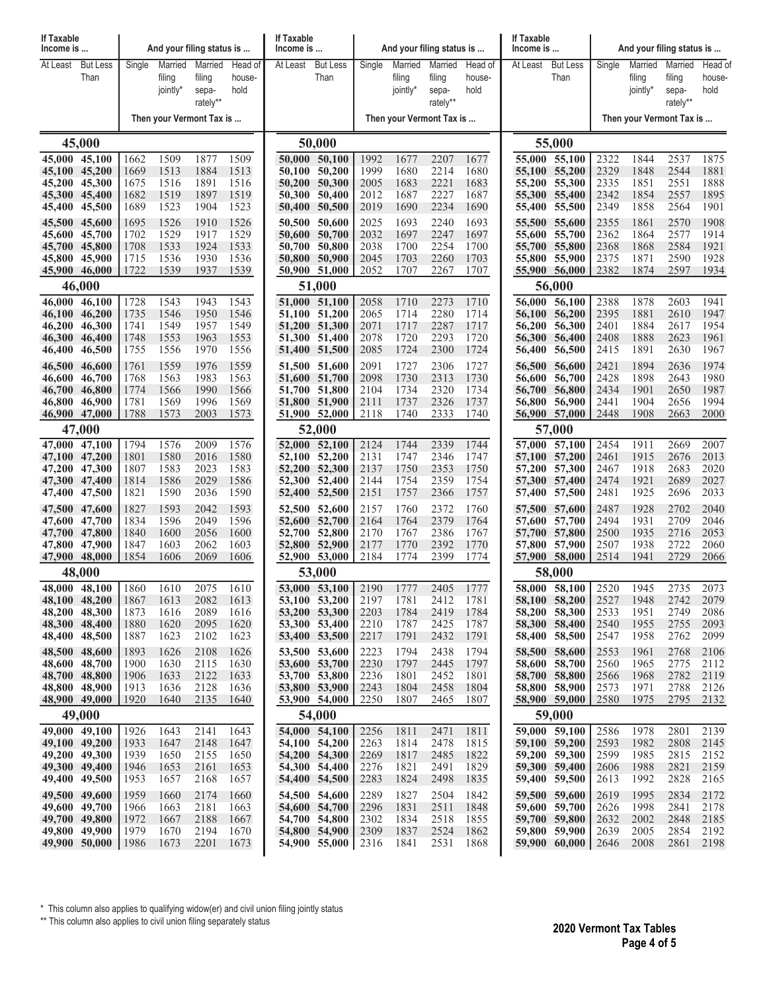| If Taxable<br>Income is                                                                        |                                      |                                                      |                                                      | And your filing status is                            |                                                      | <b>If Taxable</b><br>Income is |                                                                                                                     |                                                      | And your filing status is                            |                                                      |                                                      | If Taxable<br>Income is              |                                                                                                       |                                                      | And your filing status is                            |                                                      |                                                      |  |
|------------------------------------------------------------------------------------------------|--------------------------------------|------------------------------------------------------|------------------------------------------------------|------------------------------------------------------|------------------------------------------------------|--------------------------------|---------------------------------------------------------------------------------------------------------------------|------------------------------------------------------|------------------------------------------------------|------------------------------------------------------|------------------------------------------------------|--------------------------------------|-------------------------------------------------------------------------------------------------------|------------------------------------------------------|------------------------------------------------------|------------------------------------------------------|------------------------------------------------------|--|
| At Least                                                                                       | <b>But Less</b><br>Than              | Single                                               | Married<br>filing<br>jointly*                        | Married<br>filing<br>sepa-<br>rately**               | Head of<br>house-<br>hold                            | At Least                       | <b>But Less</b><br>Than                                                                                             | Single                                               | Married<br>filing<br>jointly*                        | Married<br>filing<br>sepa-<br>rately**               | Head of<br>house-<br>hold                            | At Least                             | <b>But Less</b><br>Than                                                                               | Single                                               | Married<br>filing<br>jointly*                        | Married<br>filing<br>sepa-<br>rately**               | Head of<br>house-<br>hold                            |  |
|                                                                                                |                                      |                                                      |                                                      | Then your Vermont Tax is                             |                                                      |                                |                                                                                                                     |                                                      | Then your Vermont Tax is                             |                                                      |                                                      |                                      |                                                                                                       |                                                      | Then your Vermont Tax is                             |                                                      |                                                      |  |
|                                                                                                | 45,000                               |                                                      |                                                      |                                                      |                                                      |                                | 50,000                                                                                                              |                                                      |                                                      |                                                      |                                                      | 55,000                               |                                                                                                       |                                                      |                                                      |                                                      |                                                      |  |
| 45,000 45,100<br>45,100 45,200<br>45,200<br>45,300 45,400<br>45,400                            | 45,300<br>45,500                     | 1662<br>1669<br>1675<br>1682<br>1689                 | 1509<br>1513<br>1516<br>1519<br>1523                 | 1877<br>1884<br>1891<br>1897<br>1904                 | 1509<br>1513<br>1516<br>1519<br>1523                 |                                | 50,000 50,100<br>50,100 50,200<br>50,200 50,300<br>50.300 50.400<br>50,400 50,500                                   | 1992<br>1999<br>2005<br>2012<br>2019                 | 1677<br>1680<br>1683<br>1687<br>1690                 | 2207<br>2214<br>2221<br>2227<br>2234                 | 1677<br>1680<br>1683<br>1687<br>1690                 | 55,100<br>55,200                     | 55,000 55,100<br>55,200<br>55,300<br>55,300 55,400<br>55,400 55,500                                   | 2322<br>2329<br>2335<br>2342<br>2349                 | 1844<br>1848<br>1851<br>1854<br>1858                 | 2537<br>2544<br>2551<br>2557<br>2564                 | 1875<br>1881<br>1888<br>1895<br>1901                 |  |
| 45,500<br>45,600<br>45,700 45,800<br>45,800<br>45,900 46,000                                   | 45,600<br>45,700<br>45,900           | 1695<br>1702<br>1708<br>1715<br>1722                 | 1526<br>1529<br>1533<br>1536<br>1539                 | 1910<br>1917<br>1924<br>1930<br>1937                 | 1526<br>1529<br>1533<br>1536<br>1539                 | 50,600<br>50,800               | 50,500 50,600<br>50,700<br>50,700 50,800<br>50,900<br>50,900 51,000                                                 | 2025<br>2032<br>2038<br>2045<br>2052                 | 1693<br>1697<br>1700<br>1703<br>1707                 | 2240<br>2247<br>2254<br>2260<br>2267                 | 1693<br>1697<br>1700<br>1703<br>1707                 | 55,600<br>55,700<br>55,800           | 55,500 55,600<br>55,700<br>55,800<br>55,900<br>55,900 56,000                                          | 2355<br>2362<br>2368<br>2375<br>2382                 | 1861<br>1864<br>1868<br>1871<br>1874                 | 2570<br>2577<br>2584<br>2590<br>2597                 | 1908<br>1914<br>1921<br>1928<br>1934                 |  |
|                                                                                                | 46,000                               |                                                      |                                                      |                                                      |                                                      |                                | 51,000                                                                                                              |                                                      |                                                      |                                                      |                                                      |                                      | 56,000                                                                                                |                                                      |                                                      |                                                      |                                                      |  |
| 46,000 46,100<br>46,100<br>46,200<br>46,300<br>46,400                                          | 46,200<br>46,300<br>46,400<br>46,500 | 1728<br>1735<br>1741<br>1748<br>1755                 | 1543<br>1546<br>1549<br>1553<br>1556                 | 1943<br>1950<br>1957<br>1963<br>1970                 | 1543<br>1546<br>1549<br>1553<br>1556                 |                                | 51,000 51,100<br>51,100 51,200<br>51,200 51,300<br>51,300 51,400<br>51,400 51,500                                   | 2058<br>2065<br>2071<br>2078<br>2085                 | 1710<br>1714<br>1717<br>1720<br>1724                 | 2273<br>2280<br>2287<br>2293<br>2300                 | 1710<br>1714<br>1717<br>1720<br>1724                 | 56,100<br>56,200<br>56,300<br>56,400 | 56,000 56,100<br>56,200<br>56,300<br>56,400<br>56,500                                                 | 2388<br>2395<br>2401<br>2408<br>2415                 | 1878<br>1881<br>1884<br>1888<br>1891                 | 2603<br>2610<br>2617<br>2623<br>2630                 | 1941<br>1947<br>1954<br>1961<br>1967                 |  |
| 46,500<br>46,600<br>46,700<br>46,800<br>46,900 47,000                                          | 46,600<br>46,700<br>46,800<br>46,900 | 1761<br>1768<br>1774<br>1781<br>1788                 | 1559<br>1563<br>1566<br>1569<br>1573                 | 1976<br>1983<br>1990<br>1996<br>2003                 | 1559<br>1563<br>1566<br>1569<br>1573                 |                                | 51,500 51,600<br>51,600 51,700<br>51,700 51,800<br>51,800 51,900<br>51,900 52,000                                   | 2091<br>2098<br>2104<br>2111<br>2118                 | 1727<br>1730<br>1734<br>1737<br>1740                 | 2306<br>2313<br>2320<br>2326<br>2333                 | 1727<br>1730<br>1734<br>1737<br>1740                 | 56,500<br>56,600<br>56,700<br>56,800 | 56,600<br>56,700<br>56,800<br>56,900<br>56,900 57,000                                                 | 2421<br>2428<br>2434<br>2441<br>2448                 | 1894<br>1898<br>1901<br>1904<br>1908                 | 2636<br>2643<br>2650<br>2656<br>2663                 | 1974<br>1980<br>1987<br>1994<br>2000                 |  |
| 47,000                                                                                         |                                      |                                                      |                                                      |                                                      |                                                      |                                | 52,000                                                                                                              |                                                      |                                                      |                                                      |                                                      |                                      | 57,000                                                                                                |                                                      |                                                      |                                                      |                                                      |  |
| 47,000 47,100<br>47,100 47,200<br>47,200<br>47,300 47,400<br>47,400<br>47,500 47,600<br>47,600 | 47,300<br>47,500<br>47,700           | 1794<br>1801<br>1807<br>1814<br>1821<br>1827<br>1834 | 1576<br>1580<br>1583<br>1586<br>1590<br>1593<br>1596 | 2009<br>2016<br>2023<br>2029<br>2036<br>2042<br>2049 | 1576<br>1580<br>1583<br>1586<br>1590<br>1593<br>1596 |                                | 52,000 52,100<br>52,100 52,200<br>52,200 52,300<br>52,300 52,400<br>52,400 52,500<br>52,500 52,600<br>52,600 52,700 | 2124<br>2131<br>2137<br>2144<br>2151<br>2157<br>2164 | 1744<br>1747<br>1750<br>1754<br>1757<br>1760<br>1764 | 2339<br>2346<br>2353<br>2359<br>2366<br>2372<br>2379 | 1744<br>1747<br>1750<br>1754<br>1757<br>1760<br>1764 | 57,200<br>57,600                     | 57,000 57,100<br>57,100 57,200<br>57,300<br>57,300 57,400<br>57,400 57,500<br>57,500 57,600<br>57,700 | 2454<br>2461<br>2467<br>2474<br>2481<br>2487<br>2494 | 1911<br>1915<br>1918<br>1921<br>1925<br>1928<br>1931 | 2669<br>2676<br>2683<br>2689<br>2696<br>2702<br>2709 | 2007<br>2013<br>2020<br>2027<br>2033<br>2040<br>2046 |  |
| 47,700 47,800<br>47,800<br>47,900 48,000                                                       | 47,900<br>48,000                     | 1840<br>1847<br>1854                                 | 1600<br>1603<br>1606                                 | 2056<br>2062<br>2069                                 | 1600<br>1603<br>1606                                 |                                | 52,700 52,800<br>52,800 52,900<br>52,900 53,000<br>53,000                                                           | 2170<br>2177<br>2184                                 | 1767<br>1770<br>1774                                 | 2386<br>2392<br>2399                                 | 1767<br>1770<br>1774                                 |                                      | 57,700 57,800<br>57,800 57,900<br>57,900 58,000<br>58,000                                             | 2500<br>2507<br>2514                                 | 1935<br>1938<br>1941                                 | 2716<br>2722<br>2729                                 | 2053<br>2060<br>2066                                 |  |
| 48,000 48,100<br>48,100 48,200<br>48,200 48,300<br>48,300 48,400<br>48,400 48,500              |                                      | 1860<br>1867<br>1873<br>1880<br>1887                 | 1610<br>1613<br>1616<br>1620<br>1623                 | 2075<br>2082<br>2089<br>2095<br>2102                 | 1610<br>1613<br>1616<br>1620<br>1623                 |                                | 53,000 53,100<br>53,100 53,200<br>53,200 53,300<br>53,300 53,400<br>53,400 53,500                                   | 2190<br>2197<br>2203<br>2210<br>2217                 | 1777<br>1781<br>1784<br>1787<br>1791                 | 2405<br>2412<br>2419<br>2425<br>2432                 | 1777<br>1781<br>1784<br>1787<br>1791                 |                                      | 58,000 58,100<br>58,100 58,200<br>58,200 58,300<br>58,300 58,400<br>58,400 58,500                     | 2520<br>2527<br>2533<br>2540<br>2547                 | 1945<br>1948<br>1951<br>1955<br>1958                 | 2735<br>2742<br>2749<br>2755<br>2762                 | 2073<br>2079<br>2086<br>2093<br>2099                 |  |
| 48,500 48,600<br>48,600 48,700<br>48,700 48,800<br>48,800 48,900<br>48,900 49,000              |                                      | 1893<br>1900<br>1906<br>1913<br>1920                 | 1626<br>1630<br>1633<br>1636<br>1640                 | 2108<br>2115<br>2122<br>2128<br>2135                 | 1626<br>1630<br>1633<br>1636<br>1640                 |                                | 53,500 53,600<br>53,600 53,700<br>53,700 53,800<br>53,800 53,900<br>53,900 54,000                                   | 2223<br>2230<br>2236<br>2243<br>2250                 | 1794<br>1797<br>1801<br>1804<br>1807                 | 2438<br>2445<br>2452<br>2458<br>2465                 | 1794<br>1797<br>1801<br>1804<br>1807                 |                                      | 58,500 58,600<br>58,600 58,700<br>58,700 58,800<br>58,800 58,900<br>58,900 59,000                     | 2553<br>2560<br>2566<br>2573<br>2580                 | 1961<br>1965<br>1968<br>1971<br>1975                 | 2768<br>2775<br>2782<br>2788<br>2795                 | 2106<br>2112<br>2119<br>2126<br>2132                 |  |
| 49,000 49,100                                                                                  | 49,000                               | 1926                                                 | 1643                                                 | 2141                                                 | 1643                                                 |                                | 54,000<br>54,000 54,100                                                                                             | 2256                                                 | 1811                                                 | 2471                                                 | 1811                                                 |                                      | 59,000<br>59,000 59,100                                                                               | 2586                                                 | 1978                                                 | 2801                                                 | 2139                                                 |  |
| 49,100 49,200<br>49,200 49,300<br>49,300 49,400<br>49,400 49,500                               |                                      | 1933<br>1939<br>1946<br>1953                         | 1647<br>1650<br>1653<br>1657                         | 2148<br>2155<br>2161<br>2168                         | 1647<br>1650<br>1653<br>1657                         |                                | 54,100 54,200<br>54,200 54,300<br>54,300 54,400<br>54,400 54,500                                                    | 2263<br>2269<br>2276<br>2283                         | 1814<br>1817<br>1821<br>1824                         | 2478<br>2485<br>2491<br>2498                         | 1815<br>1822<br>1829<br>1835                         |                                      | 59,100 59,200<br>59,200 59,300<br>59,300 59,400<br>59,400 59,500                                      | 2593<br>2599<br>2606<br>2613                         | 1982<br>1985<br>1988<br>1992                         | 2808<br>2815<br>2821<br>2828                         | 2145<br>2152<br>2159<br>2165                         |  |
| 49,500 49,600<br>49,600 49,700<br>49,700 49,800<br>49,800 49,900<br>49,900 50,000              |                                      | 1959<br>1966<br>1972<br>1979<br>  1986               | 1660<br>1663<br>1667<br>1670<br>1673                 | 2174<br>2181<br>2188<br>2194<br>2201                 | 1660<br>1663<br>1667<br>1670<br>1673                 |                                | 54,500 54,600<br>54,600 54,700<br>54,700 54,800<br>54,800 54,900<br>54,900 55,000                                   | 2289<br>2296<br>2302<br>2309<br>2316                 | 1827<br>1831<br>1834<br>1837<br>1841                 | 2504<br>2511<br>2518<br>2524<br>2531                 | 1842<br>1848<br>1855<br>1862<br>1868                 |                                      | 59,500 59,600<br>59,600 59,700<br>59,700 59,800<br>59,800 59,900<br>59,900 60,000                     | 2619<br>2626<br>2632<br>2639<br>2646                 | 1995<br>1998<br>2002<br>2005<br>2008                 | 2834<br>2841<br>2848<br>2854<br>2861                 | 2172<br>2178<br>2185<br>2192<br>2198                 |  |